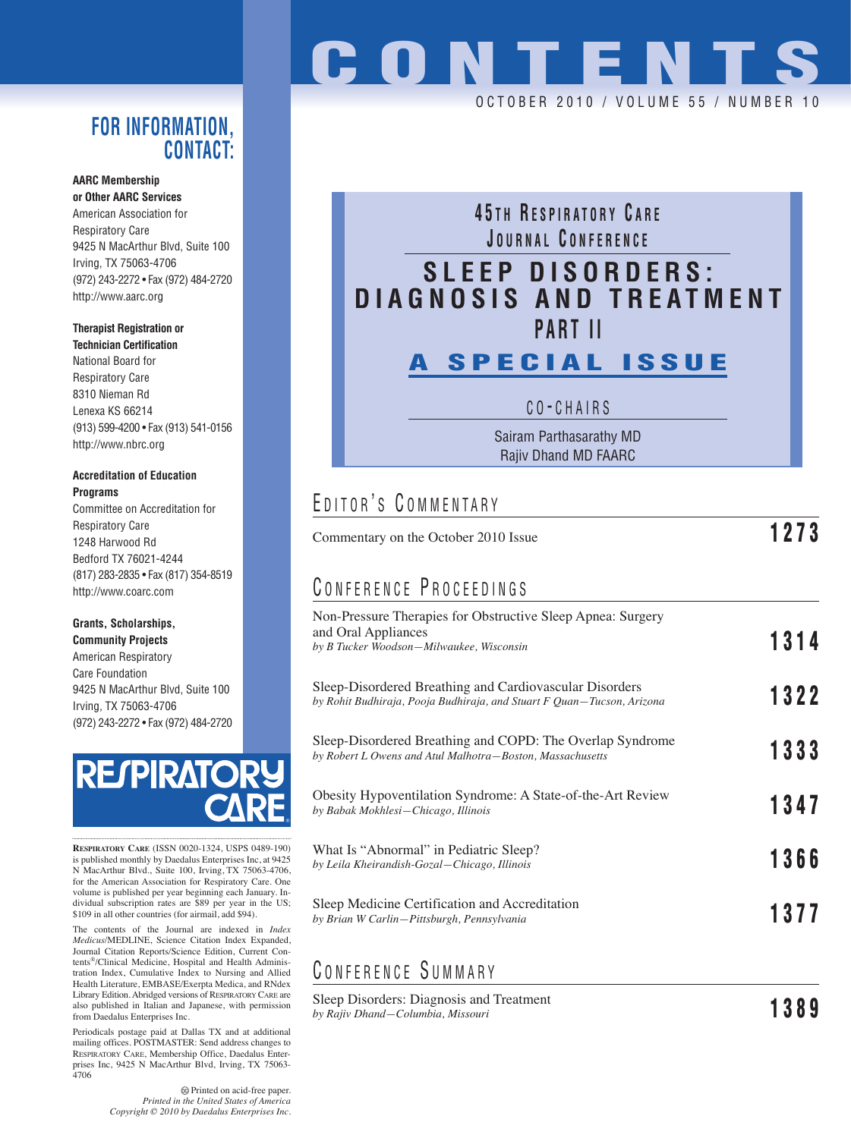### **FOR INFORMATION, CONTACT:**

#### **AARC Membership or Other AARC Services**

American Association for Respiratory Care 9425 N MacArthur Blvd, Suite 100 Irving, TX 75063-4706 (972) 243-2272 • Fax (972) 484-2720 http://www.aarc.org

#### **Therapist Registration or**

**Technician Certification** National Board for Respiratory Care 8310 Nieman Rd Lenexa KS 66214 (913) 599-4200 • Fax (913) 541-0156 http://www.nbrc.org

#### **Accreditation of Education Programs**

Committee on Accreditation for Respiratory Care 1248 Harwood Rd Bedford TX 76021-4244 (817) 283-2835 • Fax (817) 354-8519 http://www.coarc.com

#### **Grants, Scholarships,**

**Community Projects** American Respiratory Care Foundation 9425 N MacArthur Blvd, Suite 100 Irving, TX 75063-4706 (972) 243-2272 • Fax (972) 484-2720



**RESPIRATORY CARE** (ISSN 0020-1324, USPS 0489-190) is published monthly by Daedalus Enterprises Inc, at 9425 N MacArthur Blvd., Suite 100, Irving, TX 75063-4706, for the American Association for Respiratory Care. One volume is published per year beginning each January. In-dividual subscription rates are \$89 per year in the US; \$109 in all other countries (for airmail, add \$94).

The contents of the Journal are indexed in *Index Medicus*/MEDLINE, Science Citation Index Expanded, Journal Citation Reports/Science Edition, Current Contents®/Clinical Medicine, Hospital and Health Administration Index, Cumulative Index to Nursing and Allied Health Literature, EMBASE/Exerpta Medica, and RNdex Library Edition. Abridged versions of RESPIRATORY CARE are also published in Italian and Japanese, with permission from Daedalus Enterprises Inc.

Periodicals postage paid at Dallas TX and at additional mailing offices. POSTMASTER: Send address changes to RESPIRATORY CARE, Membership Office, Daedalus Enterprises Inc, 9425 N MacArthur Blvd, Irving, TX 75063- 4706

> Printed on acid-free paper. *Printed in the United States of America Copyright © 2010 by Daedalus Enterprises Inc.*

# **CONTENTS**

OCTOBER 2010 / VOLUME 55 / NUMBER 10

## **4 5 T H R ESPIRATORY C ARE J OURNAL C ONFERENCE SLEEP DISORDERS: DIAGNOSIS AND TREATMENT PART II**

## **A SPECIAL ISSUE**

C O - CHAIRS

Sairam Parthasarathy MD Rajiv Dhand MD FAARC

## EDITOR'S COMMENTARY

| Commentary on the October 2010 Issue                                                                                              | 1273 |
|-----------------------------------------------------------------------------------------------------------------------------------|------|
| CONFERENCE PROCEEDINGS                                                                                                            |      |
| Non-Pressure Therapies for Obstructive Sleep Apnea: Surgery<br>and Oral Appliances<br>by B Tucker Woodson-Milwaukee, Wisconsin    | 1314 |
| Sleep-Disordered Breathing and Cardiovascular Disorders<br>by Rohit Budhiraja, Pooja Budhiraja, and Stuart F Quan-Tucson, Arizona | 1322 |
| Sleep-Disordered Breathing and COPD: The Overlap Syndrome<br>by Robert L Owens and Atul Malhotra-Boston, Massachusetts            | 1333 |
| Obesity Hypoventilation Syndrome: A State-of-the-Art Review<br>by Babak Mokhlesi-Chicago, Illinois                                | 1347 |
| What Is "Abnormal" in Pediatric Sleep?<br>by Leila Kheirandish-Gozal-Chicago, Illinois                                            | 1366 |
| Sleep Medicine Certification and Accreditation<br>by Brian W Carlin-Pittsburgh, Pennsylvania                                      | 1377 |
|                                                                                                                                   |      |

## C ONFERENCE S UMMARY

Sleep Disorders: Diagnosis and Treatment *by Rajiv Dhand—Columbia, Missouri* **1389**